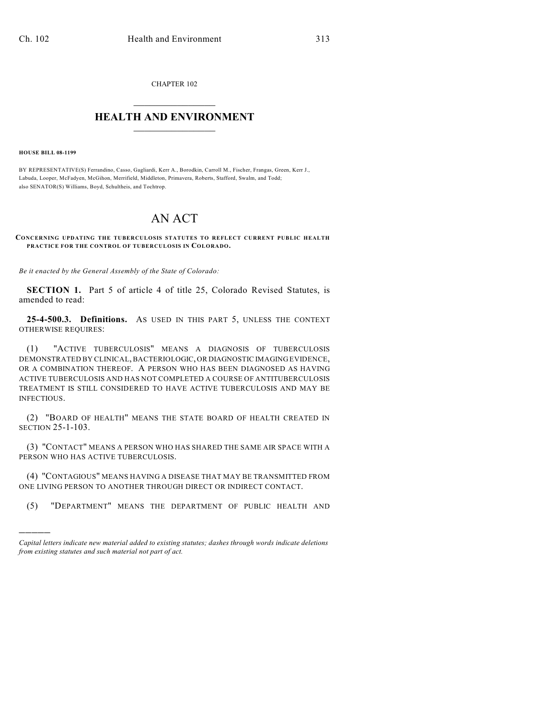CHAPTER 102  $\mathcal{L}_\text{max}$  . The set of the set of the set of the set of the set of the set of the set of the set of the set of the set of the set of the set of the set of the set of the set of the set of the set of the set of the set

## **HEALTH AND ENVIRONMENT**  $\_$

**HOUSE BILL 08-1199**

)))))

BY REPRESENTATIVE(S) Ferrandino, Casso, Gagliardi, Kerr A., Borodkin, Carroll M., Fischer, Frangas, Green, Kerr J., Labuda, Looper, McFadyen, McGihon, Merrifield, Middleton, Primavera, Roberts, Stafford, Swalm, and Todd; also SENATOR(S) Williams, Boyd, Schultheis, and Tochtrop.

## AN ACT

## **CONCERNING UPDATING THE TUBERCULOSIS STATUTES TO REFLECT CURRENT PUBLIC HEALTH PRACTICE FOR THE CONTROL OF TUBERCULOSIS IN COLORADO.**

*Be it enacted by the General Assembly of the State of Colorado:*

**SECTION 1.** Part 5 of article 4 of title 25, Colorado Revised Statutes, is amended to read:

**25-4-500.3. Definitions.** AS USED IN THIS PART 5, UNLESS THE CONTEXT OTHERWISE REQUIRES:

(1) "ACTIVE TUBERCULOSIS" MEANS A DIAGNOSIS OF TUBERCULOSIS DEMONSTRATED BY CLINICAL, BACTERIOLOGIC, OR DIAGNOSTIC IMAGING EVIDENCE, OR A COMBINATION THEREOF. A PERSON WHO HAS BEEN DIAGNOSED AS HAVING ACTIVE TUBERCULOSIS AND HAS NOT COMPLETED A COURSE OF ANTITUBERCULOSIS TREATMENT IS STILL CONSIDERED TO HAVE ACTIVE TUBERCULOSIS AND MAY BE INFECTIOUS.

(2) "BOARD OF HEALTH" MEANS THE STATE BOARD OF HEALTH CREATED IN SECTION 25-1-103.

(3) "CONTACT" MEANS A PERSON WHO HAS SHARED THE SAME AIR SPACE WITH A PERSON WHO HAS ACTIVE TUBERCULOSIS.

(4) "CONTAGIOUS" MEANS HAVING A DISEASE THAT MAY BE TRANSMITTED FROM ONE LIVING PERSON TO ANOTHER THROUGH DIRECT OR INDIRECT CONTACT.

(5) "DEPARTMENT" MEANS THE DEPARTMENT OF PUBLIC HEALTH AND

*Capital letters indicate new material added to existing statutes; dashes through words indicate deletions from existing statutes and such material not part of act.*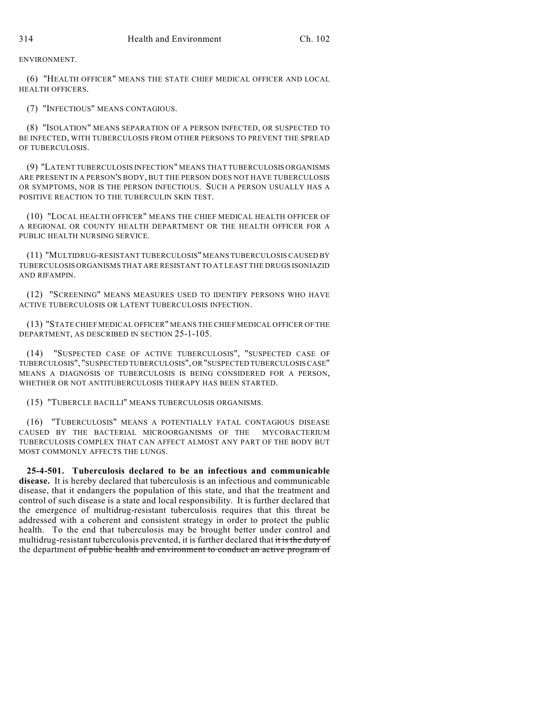ENVIRONMENT.

(6) "HEALTH OFFICER" MEANS THE STATE CHIEF MEDICAL OFFICER AND LOCAL HEALTH OFFICERS.

(7) "INFECTIOUS" MEANS CONTAGIOUS.

(8) "ISOLATION" MEANS SEPARATION OF A PERSON INFECTED, OR SUSPECTED TO BE INFECTED, WITH TUBERCULOSIS FROM OTHER PERSONS TO PREVENT THE SPREAD OF TUBERCULOSIS.

(9) "LATENT TUBERCULOSIS INFECTION" MEANS THAT TUBERCULOSIS ORGANISMS ARE PRESENT IN A PERSON'S BODY, BUT THE PERSON DOES NOT HAVE TUBERCULOSIS OR SYMPTOMS, NOR IS THE PERSON INFECTIOUS. SUCH A PERSON USUALLY HAS A POSITIVE REACTION TO THE TUBERCULIN SKIN TEST.

(10) "LOCAL HEALTH OFFICER" MEANS THE CHIEF MEDICAL HEALTH OFFICER OF A REGIONAL OR COUNTY HEALTH DEPARTMENT OR THE HEALTH OFFICER FOR A PUBLIC HEALTH NURSING SERVICE.

(11) "MULTIDRUG-RESISTANT TUBERCULOSIS" MEANS TUBERCULOSIS CAUSED BY TUBERCULOSIS ORGANISMS THAT ARE RESISTANT TO AT LEAST THE DRUGS ISONIAZID AND RIFAMPIN.

(12) "SCREENING" MEANS MEASURES USED TO IDENTIFY PERSONS WHO HAVE ACTIVE TUBERCULOSIS OR LATENT TUBERCULOSIS INFECTION.

(13) "STATE CHIEF MEDICAL OFFICER" MEANS THE CHIEF MEDICAL OFFICER OF THE DEPARTMENT, AS DESCRIBED IN SECTION 25-1-105.

(14) "SUSPECTED CASE OF ACTIVE TUBERCULOSIS", "SUSPECTED CASE OF TUBERCULOSIS", "SUSPECTED TUBERCULOSIS", OR "SUSPECTED TUBERCULOSIS CASE" MEANS A DIAGNOSIS OF TUBERCULOSIS IS BEING CONSIDERED FOR A PERSON, WHETHER OR NOT ANTITUBERCULOSIS THERAPY HAS BEEN STARTED.

(15) "TUBERCLE BACILLI" MEANS TUBERCULOSIS ORGANISMS.

(16) "TUBERCULOSIS" MEANS A POTENTIALLY FATAL CONTAGIOUS DISEASE CAUSED BY THE BACTERIAL MICROORGANISMS OF THE MYCOBACTERIUM TUBERCULOSIS COMPLEX THAT CAN AFFECT ALMOST ANY PART OF THE BODY BUT MOST COMMONLY AFFECTS THE LUNGS.

**25-4-501. Tuberculosis declared to be an infectious and communicable disease.** It is hereby declared that tuberculosis is an infectious and communicable disease, that it endangers the population of this state, and that the treatment and control of such disease is a state and local responsibility. It is further declared that the emergence of multidrug-resistant tuberculosis requires that this threat be addressed with a coherent and consistent strategy in order to protect the public health. To the end that tuberculosis may be brought better under control and multidrug-resistant tuberculosis prevented, it is further declared that it is the duty of the department of public health and environment to conduct an active program of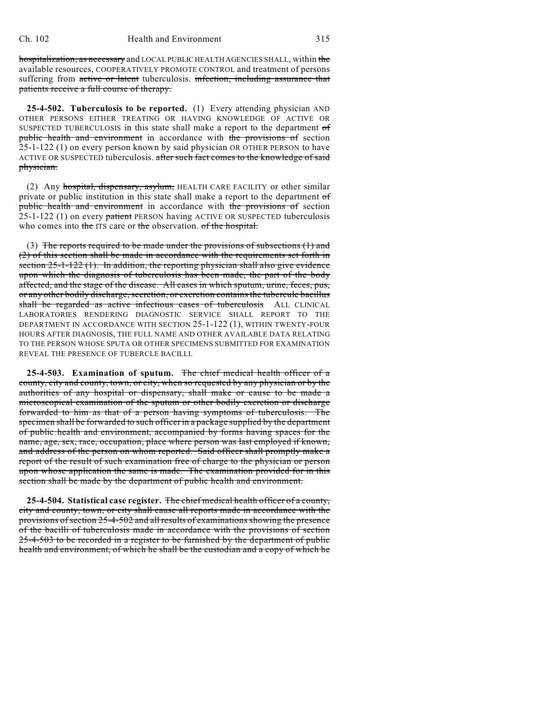hospitalization, as necessary and LOCAL PUBLIC HEALTH AGENCIES SHALL, within the available resources, COOPERATIVELY PROMOTE CONTROL and treatment of persons suffering from active or latent tuberculosis. infection, including assurance that patients receive a full course of therapy.

**25-4-502. Tuberculosis to be reported.** (1) Every attending physician AND OTHER PERSONS EITHER TREATING OR HAVING KNOWLEDGE OF ACTIVE OR SUSPECTED TUBERCULOSIS in this state shall make a report to the department of public health and environment in accordance with the provisions of section 25-1-122 (1) on every person known by said physician OR OTHER PERSON to have ACTIVE OR SUSPECTED tuberculosis. after such fact comes to the knowledge of said physician.

(2) Any hospital, dispensary, asylum, HEALTH CARE FACILITY or other similar private or public institution in this state shall make a report to the department of public health and environment in accordance with the provisions of section  $25$ -1-122 (1) on every patient PERSON having ACTIVE OR SUSPECTED tuberculosis who comes into the ITS care or the observation. of the hospital.

(3) The reports required to be made under the provisions of subsections  $(1)$  and (2) of this section shall be made in accordance with the requirements set forth in section 25-1-122 (1). In addition, the reporting physician shall also give evidence upon which the diagnosis of tuberculosis has been made, the part of the body affected, and the stage of the disease. All cases in which sputum, urine, feces, pus, or any other bodily discharge, secretion, or excretion contains the tubercule bacillus shall be regarded as active infectious cases of tuberculosis ALL CLINICAL LABORATORIES RENDERING DIAGNOSTIC SERVICE SHALL REPORT TO THE DEPARTMENT IN ACCORDANCE WITH SECTION 25-1-122 (1), WITHIN TWENTY-FOUR HOURS AFTER DIAGNOSIS, THE FULL NAME AND OTHER AVAILABLE DATA RELATING TO THE PERSON WHOSE SPUTA OR OTHER SPECIMENS SUBMITTED FOR EXAMINATION REVEAL THE PRESENCE OF TUBERCLE BACILLI.

**25-4-503. Examination of sputum.** The chief medical health officer of a county, city and county, town, or city, when so requested by any physician or by the authorities of any hospital or dispensary, shall make or cause to be made a microscopical examination of the sputum or other bodily excretion or discharge forwarded to him as that of a person having symptoms of tuberculosis. The specimen shall be forwarded to such officerin a package supplied by the department of public health and environment, accompanied by forms having spaces for the name, age, sex, race, occupation, place where person was last employed if known, and address of the person on whom reported. Said officer shall promptly make a report of the result of such examination free of charge to the physician or person upon whose application the same is made. The examination provided for in this section shall be made by the department of public health and environment.

**25-4-504. Statistical case register.** The chief medical health officer of a county, city and county, town, or city shall cause all reports made in accordance with the provisions of section 25-4-502 and all results of examinations showing the presence of the bacilli of tuberculosis made in accordance with the provisions of section 25-4-503 to be recorded in a register to be furnished by the department of public health and environment, of which he shall be the custodian and a copy of which he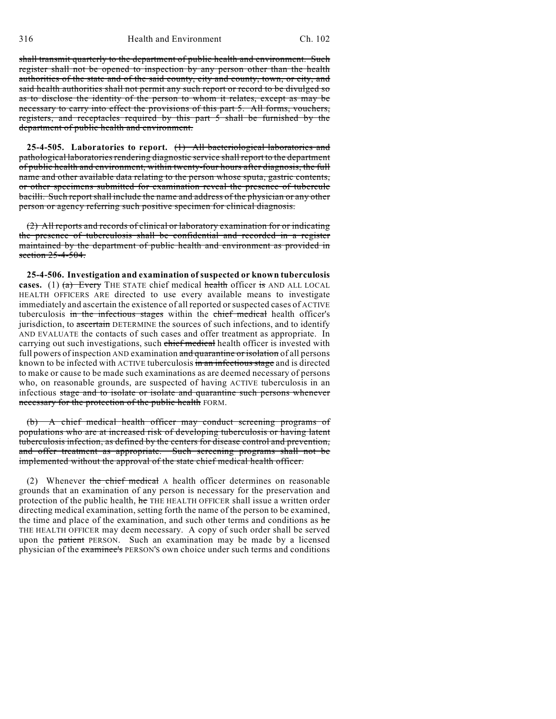shall transmit quarterly to the department of public health and environment. Such register shall not be opened to inspection by any person other than the health authorities of the state and of the said county, city and county, town, or city, and said health authorities shall not permit any such report or record to be divulged so as to disclose the identity of the person to whom it relates, except as may be necessary to carry into effect the provisions of this part 5. All forms, vouchers, registers, and receptacles required by this part 5 shall be furnished by the department of public health and environment.

**25-4-505. Laboratories to report.** (1) All bacteriological laboratories and pathological laboratories rendering diagnostic service shall report to the department of public health and environment, within twenty-four hours after diagnosis, the full name and other available data relating to the person whose sputa, gastric contents, or other specimens submitted for examination reveal the presence of tubercule bacilli. Such report shall include the name and address of the physician or any other person or agency referring such positive specimen for clinical diagnosis.

(2) All reports and records of clinical or laboratory examination for or indicating the presence of tuberculosis shall be confidential and recorded in a register maintained by the department of public health and environment as provided in section  $25-4-504$ .

**25-4-506. Investigation and examination of suspected or known tuberculosis cases.** (1)  $(a)$  Every THE STATE chief medical health officer is AND ALL LOCAL HEALTH OFFICERS ARE directed to use every available means to investigate immediately and ascertain the existence of all reported or suspected cases of ACTIVE tuberculosis in the infectious stages within the chief medical health officer's jurisdiction, to ascertain DETERMINE the sources of such infections, and to identify AND EVALUATE the contacts of such cases and offer treatment as appropriate. In carrying out such investigations, such chief medical health officer is invested with full powers of inspection AND examination and quarantine or isolation of all persons known to be infected with ACTIVE tuberculosis in an infectious stage and is directed to make or cause to be made such examinations as are deemed necessary of persons who, on reasonable grounds, are suspected of having ACTIVE tuberculosis in an infectious stage and to isolate or isolate and quarantine such persons whenever necessary for the protection of the public health FORM.

(b) A chief medical health officer may conduct screening programs of populations who are at increased risk of developing tuberculosis or having latent tuberculosis infection, as defined by the centers for disease control and prevention, and offer treatment as appropriate. Such screening programs shall not be implemented without the approval of the state chief medical health officer.

(2) Whenever the chief medical A health officer determines on reasonable grounds that an examination of any person is necessary for the preservation and protection of the public health, he THE HEALTH OFFICER shall issue a written order directing medical examination, setting forth the name of the person to be examined, the time and place of the examination, and such other terms and conditions as he THE HEALTH OFFICER may deem necessary. A copy of such order shall be served upon the patient PERSON. Such an examination may be made by a licensed physician of the examinee's PERSON'S own choice under such terms and conditions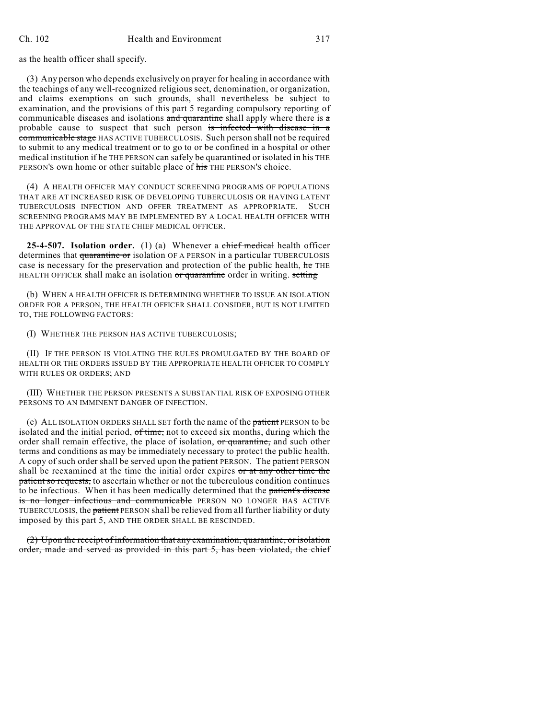as the health officer shall specify.

(3) Any person who depends exclusively on prayer for healing in accordance with the teachings of any well-recognized religious sect, denomination, or organization, and claims exemptions on such grounds, shall nevertheless be subject to examination, and the provisions of this part 5 regarding compulsory reporting of communicable diseases and isolations and quarantine shall apply where there is a probable cause to suspect that such person is infected with disease in a communicable stage HAS ACTIVE TUBERCULOSIS. Such person shall not be required to submit to any medical treatment or to go to or be confined in a hospital or other medical institution if he THE PERSON can safely be quarantined or isolated in his THE PERSON'S own home or other suitable place of his THE PERSON's choice.

(4) A HEALTH OFFICER MAY CONDUCT SCREENING PROGRAMS OF POPULATIONS THAT ARE AT INCREASED RISK OF DEVELOPING TUBERCULOSIS OR HAVING LATENT TUBERCULOSIS INFECTION AND OFFER TREATMENT AS APPROPRIATE. SUCH SCREENING PROGRAMS MAY BE IMPLEMENTED BY A LOCAL HEALTH OFFICER WITH THE APPROVAL OF THE STATE CHIEF MEDICAL OFFICER.

**25-4-507. Isolation order.** (1) (a) Whenever a chief medical health officer determines that quarantine or isolation OF A PERSON in a particular TUBERCULOSIS case is necessary for the preservation and protection of the public health, he THE HEALTH OFFICER shall make an isolation or quarantine order in writing. setting

(b) WHEN A HEALTH OFFICER IS DETERMINING WHETHER TO ISSUE AN ISOLATION ORDER FOR A PERSON, THE HEALTH OFFICER SHALL CONSIDER, BUT IS NOT LIMITED TO, THE FOLLOWING FACTORS:

(I) WHETHER THE PERSON HAS ACTIVE TUBERCULOSIS;

(II) IF THE PERSON IS VIOLATING THE RULES PROMULGATED BY THE BOARD OF HEALTH OR THE ORDERS ISSUED BY THE APPROPRIATE HEALTH OFFICER TO COMPLY WITH RULES OR ORDERS; AND

(III) WHETHER THE PERSON PRESENTS A SUBSTANTIAL RISK OF EXPOSING OTHER PERSONS TO AN IMMINENT DANGER OF INFECTION.

(c) ALL ISOLATION ORDERS SHALL SET forth the name of the patient PERSON to be isolated and the initial period, of time, not to exceed six months, during which the order shall remain effective, the place of isolation, or quarantine, and such other terms and conditions as may be immediately necessary to protect the public health. A copy of such order shall be served upon the patient PERSON. The patient PERSON shall be reexamined at the time the initial order expires or at any other time the patient so requests, to ascertain whether or not the tuberculous condition continues to be infectious. When it has been medically determined that the patient's disease is no longer infectious and communicable PERSON NO LONGER HAS ACTIVE TUBERCULOSIS, the patient PERSON shall be relieved from all further liability or duty imposed by this part 5, AND THE ORDER SHALL BE RESCINDED.

(2) Upon the receipt of information that any examination, quarantine, or isolation order, made and served as provided in this part 5, has been violated, the chief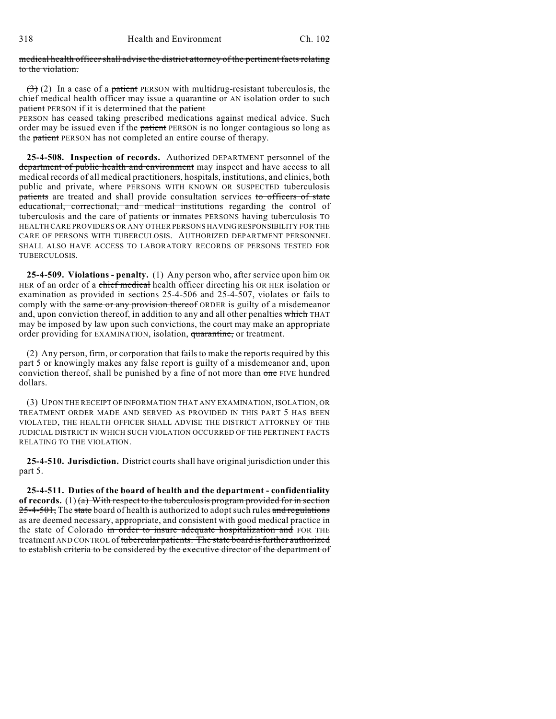medical health officershall advise the district attorney of the pertinent facts relating to the violation.

 $(3)$  (2) In a case of a patient PERSON with multidrug-resistant tuberculosis, the chief medical health officer may issue a quarantine or AN isolation order to such patient PERSON if it is determined that the patient

PERSON has ceased taking prescribed medications against medical advice. Such order may be issued even if the patient PERSON is no longer contagious so long as the patient PERSON has not completed an entire course of therapy.

**25-4-508. Inspection of records.** Authorized DEPARTMENT personnel of the department of public health and environment may inspect and have access to all medical records of all medical practitioners, hospitals, institutions, and clinics, both public and private, where PERSONS WITH KNOWN OR SUSPECTED tuberculosis patients are treated and shall provide consultation services to officers of state educational, correctional, and medical institutions regarding the control of tuberculosis and the care of patients or inmates PERSONS having tuberculosis TO HEALTH CARE PROVIDERS OR ANY OTHER PERSONS HAVING RESPONSIBILITY FOR THE CARE OF PERSONS WITH TUBERCULOSIS. AUTHORIZED DEPARTMENT PERSONNEL SHALL ALSO HAVE ACCESS TO LABORATORY RECORDS OF PERSONS TESTED FOR TUBERCULOSIS.

**25-4-509. Violations - penalty.** (1) Any person who, after service upon him OR HER of an order of a chief medical health officer directing his OR HER isolation or examination as provided in sections 25-4-506 and 25-4-507, violates or fails to comply with the same or any provision thereof ORDER is guilty of a misdemeanor and, upon conviction thereof, in addition to any and all other penalties which THAT may be imposed by law upon such convictions, the court may make an appropriate order providing for EXAMINATION, isolation, quarantine, or treatment.

(2) Any person, firm, or corporation that fails to make the reports required by this part 5 or knowingly makes any false report is guilty of a misdemeanor and, upon conviction thereof, shall be punished by a fine of not more than one FIVE hundred dollars.

(3) UPON THE RECEIPT OF INFORMATION THAT ANY EXAMINATION, ISOLATION, OR TREATMENT ORDER MADE AND SERVED AS PROVIDED IN THIS PART 5 HAS BEEN VIOLATED, THE HEALTH OFFICER SHALL ADVISE THE DISTRICT ATTORNEY OF THE JUDICIAL DISTRICT IN WHICH SUCH VIOLATION OCCURRED OF THE PERTINENT FACTS RELATING TO THE VIOLATION.

**25-4-510. Jurisdiction.** District courts shall have original jurisdiction under this part 5.

**25-4-511. Duties of the board of health and the department - confidentiality** of records.  $(1)$  (a) With respect to the tuberculosis program provided for in section  $25-4-501$ , The state board of health is authorized to adopt such rules and regulations as are deemed necessary, appropriate, and consistent with good medical practice in the state of Colorado in order to insure adequate hospitalization and FOR THE treatment AND CONTROL of tubercular patients. The state board is further authorized to establish criteria to be considered by the executive director of the department of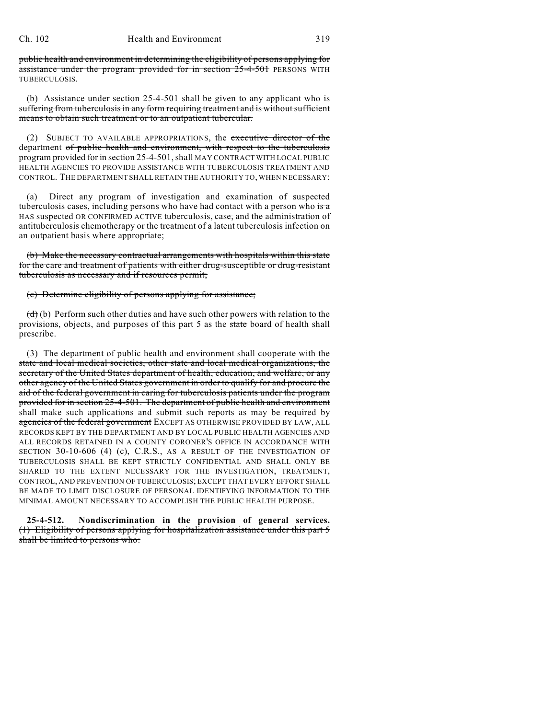public health and environment in determining the eligibility of persons applying for assistance under the program provided for in section 25-4-501 PERSONS WITH TUBERCULOSIS.

(b) Assistance under section 25-4-501 shall be given to any applicant who is suffering from tuberculosis in any form requiring treatment and is without sufficient means to obtain such treatment or to an outpatient tubercular.

(2) SUBJECT TO AVAILABLE APPROPRIATIONS, the executive director of the department of public health and environment, with respect to the tuberculosis program provided for in section 25-4-501, shall MAY CONTRACT WITH LOCAL PUBLIC HEALTH AGENCIES TO PROVIDE ASSISTANCE WITH TUBERCULOSIS TREATMENT AND CONTROL. THE DEPARTMENT SHALL RETAIN THE AUTHORITY TO, WHEN NECESSARY:

(a) Direct any program of investigation and examination of suspected tuberculosis cases, including persons who have had contact with a person who  $\frac{1}{\pi}$ HAS suspected OR CONFIRMED ACTIVE tuberculosis, case, and the administration of antituberculosis chemotherapy or the treatment of a latent tuberculosis infection on an outpatient basis where appropriate;

(b) Make the necessary contractual arrangements with hospitals within this state for the care and treatment of patients with either drug-susceptible or drug-resistant tuberculosis as necessary and if resources permit;

(c) Determine eligibility of persons applying for assistance;

 $(d)$  (b) Perform such other duties and have such other powers with relation to the provisions, objects, and purposes of this part 5 as the state board of health shall prescribe.

(3) The department of public health and environment shall cooperate with the state and local medical societies, other state and local medical organizations, the secretary of the United States department of health, education, and welfare, or any other agency of the United States government in order to qualify for and procure the aid of the federal government in caring for tuberculosis patients under the program provided for in section 25-4-501. The department of public health and environment shall make such applications and submit such reports as may be required by agencies of the federal government EXCEPT AS OTHERWISE PROVIDED BY LAW, ALL RECORDS KEPT BY THE DEPARTMENT AND BY LOCAL PUBLIC HEALTH AGENCIES AND ALL RECORDS RETAINED IN A COUNTY CORONER'S OFFICE IN ACCORDANCE WITH SECTION 30-10-606 (4) (c), C.R.S., AS A RESULT OF THE INVESTIGATION OF TUBERCULOSIS SHALL BE KEPT STRICTLY CONFIDENTIAL AND SHALL ONLY BE SHARED TO THE EXTENT NECESSARY FOR THE INVESTIGATION, TREATMENT, CONTROL, AND PREVENTION OF TUBERCULOSIS; EXCEPT THAT EVERY EFFORT SHALL BE MADE TO LIMIT DISCLOSURE OF PERSONAL IDENTIFYING INFORMATION TO THE MINIMAL AMOUNT NECESSARY TO ACCOMPLISH THE PUBLIC HEALTH PURPOSE.

**25-4-512. Nondiscrimination in the provision of general services.** (1) Eligibility of persons applying for hospitalization assistance under this part 5 shall be limited to persons who: